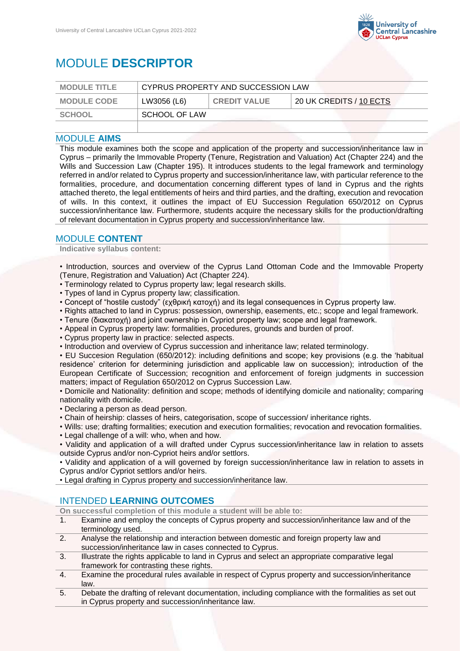

# MODULE **DESCRIPTOR**

| <b>MODULE TITLE</b> | CYPRUS PROPERTY AND SUCCESSION LAW |                     |                         |
|---------------------|------------------------------------|---------------------|-------------------------|
| <b>MODULE CODE</b>  | LW3056 (L6)                        | <b>CREDIT VALUE</b> | 20 UK CREDITS / 10 ECTS |
| SCHOOL              | SCHOOL OF LAW                      |                     |                         |
|                     |                                    |                     |                         |

## MODULE **AIMS**

This module examines both the scope and application of the property and succession/inheritance law in Cyprus – primarily the Immovable Property (Tenure, Registration and Valuation) Act (Chapter 224) and the Wills and Succession Law (Chapter 195). It introduces students to the legal framework and terminology referred in and/or related to Cyprus property and succession/inheritance law, with particular reference to the formalities, procedure, and documentation concerning different types of land in Cyprus and the rights attached thereto, the legal entitlements of heirs and third parties, and the drafting, execution and revocation of wills. In this context, it outlines the impact of EU Succession Regulation 650/2012 on Cyprus succession/inheritance law. Furthermore, students acquire the necessary skills for the production/drafting of relevant documentation in Cyprus property and succession/inheritance law.

## MODULE **CONTENT**

**Indicative syllabus content:**

• Introduction, sources and overview of the Cyprus Land Ottoman Code and the Immovable Property (Tenure, Registration and Valuation) Act (Chapter 224).

- Terminology related to Cyprus property law; legal research skills.
- Types of land in Cyprus property law; classification.
- Concept of "hostile custody" (εχθρική κατοχή) and its legal consequences in Cyprus property law.
- Rights attached to land in Cyprus: possession, ownership, easements, etc.; scope and legal framework.
- Tenure (διακατοχή) and joint ownership in Cypriot property law; scope and legal framework.
- Appeal in Cyprus property law: formalities, procedures, grounds and burden of proof.
- Cyprus property law in practice: selected aspects.
- Introduction and overview of Cyprus succession and inheritance law; related terminology.

• EU Succesion Regulation (650/2012): including definitions and scope; key provisions (e.g. the 'habitual residence' criterion for determining jurisdiction and applicable law on succession); introduction of the European Certificate of Succession; recognition and enforcement of foreign judgments in succession matters; impact of Regulation 650/2012 on Cyprus Succession Law.

• Domicile and Nationality: definition and scope; methods of identifying domicile and nationality; comparing nationality with domicile.

• Declaring a person as dead person.

- Chain of heirship: classes of heirs, categorisation, scope of succession/ inheritance rights.
- Wills: use; drafting formalities; execution and execution formalities; revocation and revocation formalities.
- Legal challenge of a will: who, when and how.

• Validity and application of a will drafted under Cyprus succession/inheritance law in relation to assets outside Cyprus and/or non-Cypriot heirs and/or settlors.

• Validity and application of a will governed by foreign succession/inheritance law in relation to assets in Cyprus and/or Cypriot settlors and/or heirs.

• Legal drafting in Cyprus property and succession/inheritance law.

## INTENDED **LEARNING OUTCOMES**

**On successful completion of this module a student will be able to:**

- 1. Examine and employ the concepts of Cyprus property and succession/inheritance law and of the terminology used.
- 2. Analyse the relationship and interaction between domestic and foreign property law and succession/inheritance law in cases connected to Cyprus.
- 3. Illustrate the rights applicable to land in Cyprus and select an appropriate comparative legal framework for contrasting these rights.
- 4. Examine the procedural rules available in respect of Cyprus property and succession/inheritance law.
- 5. Debate the drafting of relevant documentation, including compliance with the formalities as set out in Cyprus property and succession/inheritance law.